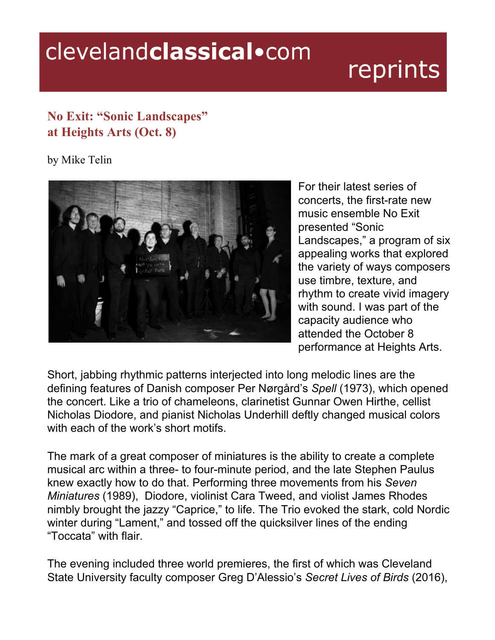## clevelandclassical.com

## reprints

## **No Exit: "Sonic Landscapes" at Heights Arts (Oct. 8)**

by Mike Telin



For their latest series of concerts, the first-rate new music ensemble No Exit presented "Sonic Landscapes," a program of six appealing works that explored the variety of ways composers use timbre, texture, and rhythm to create vivid imagery with sound. I was part of the capacity audience who attended the October 8 performance at Heights Arts.

Short, jabbing rhythmic patterns interjected into long melodic lines are the defining features of Danish composer Per Nørgård's *Spell* (1973), which opened the concert. Like a trio of chameleons, clarinetist Gunnar Owen Hirthe, cellist Nicholas Diodore, and pianist Nicholas Underhill deftly changed musical colors with each of the work's short motifs.

The mark of a great composer of miniatures is the ability to create a complete musical arc within a three- to four-minute period, and the late Stephen Paulus knew exactly how to do that. Performing three movements from his *Seven Miniatures* (1989), Diodore, violinist Cara Tweed, and violist James Rhodes nimbly brought the jazzy "Caprice," to life. The Trio evoked the stark, cold Nordic winter during "Lament," and tossed off the quicksilver lines of the ending "Toccata" with flair.

The evening included three world premieres, the first of which was Cleveland State University faculty composer Greg D'Alessio's *Secret Lives of Birds* (2016),